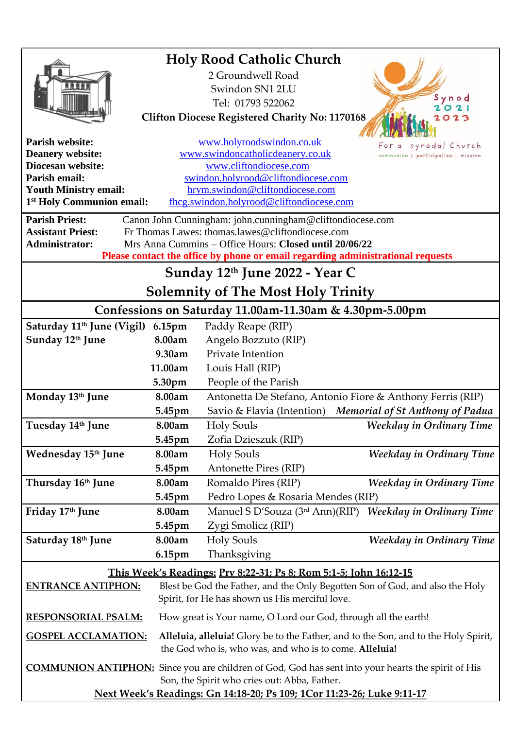|                                                                                                                                                      |                                                                                     | <b>Holy Rood Catholic Church</b>               |                                                            |
|------------------------------------------------------------------------------------------------------------------------------------------------------|-------------------------------------------------------------------------------------|------------------------------------------------|------------------------------------------------------------|
|                                                                                                                                                      |                                                                                     | 2 Groundwell Road                              |                                                            |
|                                                                                                                                                      |                                                                                     | Swindon SN1 2LU                                |                                                            |
|                                                                                                                                                      |                                                                                     | Tel: 01793 522062                              | Synod                                                      |
| <b>Clifton Diocese Registered Charity No: 1170168</b><br>023                                                                                         |                                                                                     |                                                |                                                            |
|                                                                                                                                                      |                                                                                     |                                                |                                                            |
| <b>Parish website:</b>                                                                                                                               |                                                                                     | www.holyroodswindon.co.uk                      | synodal Church                                             |
| <b>Deanery website:</b>                                                                                                                              |                                                                                     | www.swindoncatholicdeanery.co.uk               | communion   participation   mission                        |
| Diocesan website:                                                                                                                                    | www.cliftondiocese.com                                                              |                                                |                                                            |
| Parish email:                                                                                                                                        | swindon.holyrood@cliftondiocese.com                                                 |                                                |                                                            |
| <b>Youth Ministry email:</b><br>hrym.swindon@cliftondiocese.com<br>1 <sup>st</sup> Holy Communion email:<br>fhcg.swindon.holyrood@cliftondiocese.com |                                                                                     |                                                |                                                            |
|                                                                                                                                                      |                                                                                     |                                                |                                                            |
| <b>Parish Priest:</b><br>Canon John Cunningham: john.cunningham@cliftondiocese.com                                                                   |                                                                                     |                                                |                                                            |
| <b>Assistant Priest:</b><br>Fr Thomas Lawes: thomas.lawes@cliftondiocese.com                                                                         |                                                                                     |                                                |                                                            |
| Mrs Anna Cummins – Office Hours: Closed until 20/06/22<br><b>Administrator:</b>                                                                      |                                                                                     |                                                |                                                            |
| Please contact the office by phone or email regarding administrational requests                                                                      |                                                                                     |                                                |                                                            |
| Sunday 12th June 2022 - Year C                                                                                                                       |                                                                                     |                                                |                                                            |
| <b>Solemnity of The Most Holy Trinity</b>                                                                                                            |                                                                                     |                                                |                                                            |
| Confessions on Saturday 11.00am-11.30am & 4.30pm-5.00pm                                                                                              |                                                                                     |                                                |                                                            |
| Saturday 11 <sup>th</sup> June (Vigil)                                                                                                               | 6.15pm                                                                              | Paddy Reape (RIP)                              |                                                            |
| Sunday 12th June                                                                                                                                     | 8.00am                                                                              | Angelo Bozzuto (RIP)                           |                                                            |
|                                                                                                                                                      | 9.30am                                                                              | Private Intention                              |                                                            |
|                                                                                                                                                      | 11.00am                                                                             | Louis Hall (RIP)                               |                                                            |
|                                                                                                                                                      | 5.30pm                                                                              | People of the Parish                           |                                                            |
| Monday 13th June                                                                                                                                     | 8.00am                                                                              |                                                | Antonetta De Stefano, Antonio Fiore & Anthony Ferris (RIP) |
|                                                                                                                                                      | 5.45pm                                                                              | Savio & Flavia (Intention)                     | <b>Memorial of St Anthony of Padua</b>                     |
| Tuesday 14th June                                                                                                                                    | 8.00am                                                                              | <b>Holy Souls</b>                              | Weekday in Ordinary Time                                   |
|                                                                                                                                                      | 5.45pm                                                                              | Zofia Dzieszuk (RIP)                           |                                                            |
| Wednesday 15th June                                                                                                                                  | 8.00am                                                                              | <b>Holy Souls</b>                              | Weekday in Ordinary Time                                   |
|                                                                                                                                                      | 5.45pm                                                                              | Antonette Pires (RIP)                          |                                                            |
|                                                                                                                                                      |                                                                                     |                                                |                                                            |
| Thursday 16th June                                                                                                                                   | 8.00am                                                                              | Romaldo Pires (RIP)                            | Weekday in Ordinary Time                                   |
|                                                                                                                                                      | 5.45pm                                                                              | Pedro Lopes & Rosaria Mendes (RIP)             |                                                            |
| Friday 17th June                                                                                                                                     | 8.00am                                                                              |                                                | Manuel S D'Souza (3rd Ann)(RIP) Weekday in Ordinary Time   |
|                                                                                                                                                      | 5.45pm                                                                              | Zygi Smolicz (RIP)                             |                                                            |
| Saturday 18th June                                                                                                                                   | 8.00am                                                                              | <b>Holy Souls</b>                              | Weekday in Ordinary Time                                   |
|                                                                                                                                                      | $6.15$ pm                                                                           | Thanksgiving                                   |                                                            |
| This Week's Readings: Prv 8:22-31; Ps 8; Rom 5:1-5; John 16:12-15                                                                                    |                                                                                     |                                                |                                                            |
| Blest be God the Father, and the Only Begotten Son of God, and also the Holy<br><b>ENTRANCE ANTIPHON:</b>                                            |                                                                                     |                                                |                                                            |
|                                                                                                                                                      |                                                                                     | Spirit, for He has shown us His merciful love. |                                                            |
| <b>RESPONSORIAL PSALM:</b><br>How great is Your name, O Lord our God, through all the earth!                                                         |                                                                                     |                                                |                                                            |
| <b>GOSPEL ACCLAMATION:</b>                                                                                                                           | Alleluia, alleluia! Glory be to the Father, and to the Son, and to the Holy Spirit, |                                                |                                                            |
| the God who is, who was, and who is to come. Alleluia!                                                                                               |                                                                                     |                                                |                                                            |
|                                                                                                                                                      |                                                                                     |                                                |                                                            |
| <b>COMMUNION ANTIPHON:</b> Since you are children of God, God has sent into your hearts the spirit of His                                            |                                                                                     |                                                |                                                            |
| Son, the Spirit who cries out: Abba, Father.                                                                                                         |                                                                                     |                                                |                                                            |
| Next Week's Readings: Gn 14:18-20; Ps 109; 1Cor 11:23-26; Luke 9:11-17                                                                               |                                                                                     |                                                |                                                            |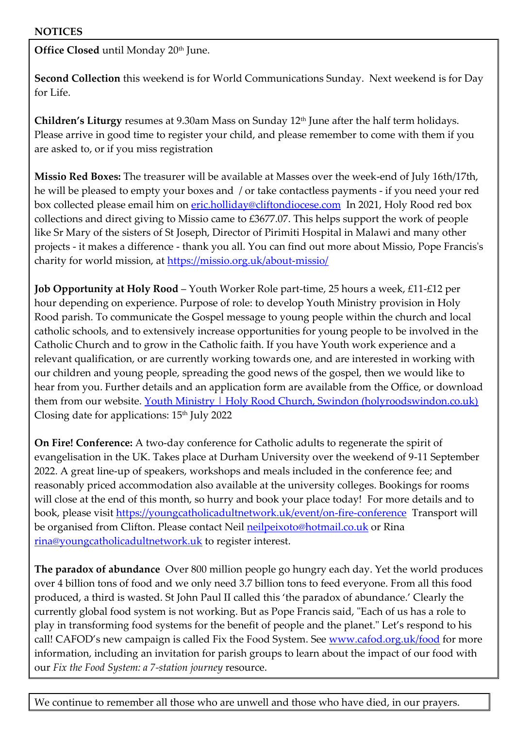**Office Closed** until Monday 20<sup>th</sup> June.

**Second Collection** this weekend is for World Communications Sunday. Next weekend is for Day for Life.

**Children's Liturgy** resumes at 9.30am Mass on Sunday 12th June after the half term holidays. Please arrive in good time to register your child, and please remember to come with them if you are asked to, or if you miss registration

**Missio Red Boxes:** The treasurer will be available at Masses over the week-end of July 16th/17th, he will be pleased to empty your boxes and / or take contactless payments - if you need your red box collected please email him on [eric.holliday@cliftondiocese.com](mailto:eric.holliday@cliftondiocese.com) In 2021, Holy Rood red box collections and direct giving to Missio came to £3677.07. This helps support the work of people like Sr Mary of the sisters of St Joseph, Director of Pirimiti Hospital in Malawi and many other projects - it makes a difference - thank you all. You can find out more about Missio, Pope Francis's charity for world mission, at<https://missio.org.uk/about-missio/>

**Job Opportunity at Holy Rood** – Youth Worker Role part-time, 25 hours a week, £11-£12 per hour depending on experience. Purpose of role: to develop Youth Ministry provision in Holy Rood parish. To communicate the Gospel message to young people within the church and local catholic schools, and to extensively increase opportunities for young people to be involved in the Catholic Church and to grow in the Catholic faith. If you have Youth work experience and a relevant qualification, or are currently working towards one, and are interested in working with our children and young people, spreading the good news of the gospel, then we would like to hear from you. Further details and an application form are available from the Office, or download them from our website. [Youth Ministry | Holy Rood Church, Swindon \(holyroodswindon.co.uk\)](https://eur02.safelinks.protection.outlook.com/?url=https%3A%2F%2Fwww.holyroodswindon.co.uk%2Fyouth-ministry&data=05%7C01%7Cswindon.holyrood%40cliftondiocese.com%7Ca9e74a0c9d8c4e56555208da42d98795%7Cf10b8f13604e4fa29e1204a7fad22e94%7C0%7C0%7C637895799552873662%7CUnknown%7CTWFpbGZsb3d8eyJWIjoiMC4wLjAwMDAiLCJQIjoiV2luMzIiLCJBTiI6Ik1haWwiLCJXVCI6Mn0%3D%7C3000%7C%7C%7C&sdata=or3mWJhL1NpsEBUhRXa0yEj23x7P2Ww07yYhF%2BxVK1k%3D&reserved=0) Closing date for applications: 15th July 2022

**On Fire! Conference:** A two-day conference for Catholic adults to regenerate the spirit of evangelisation in the UK. Takes place at Durham University over the weekend of 9-11 September 2022. A great line-up of speakers, workshops and meals included in the conference fee; and reasonably priced accommodation also available at the university colleges. Bookings for rooms will close at the end of this month, so hurry and book your place today! For more details and to book, please visit [https://youngcatholicadultnetwork.uk/event/on-fire-conference](https://eur02.safelinks.protection.outlook.com/?url=https%3A%2F%2Fyoungcatholicadultnetwork.uk%2Fevent%2Fon-fire-conference&data=05%7C01%7Cswindon.holyrood%40cliftondiocese.com%7C54c27b009dac4a52720708da3832942a%7Cf10b8f13604e4fa29e1204a7fad22e94%7C0%7C0%7C637884087123550524%7CUnknown%7CTWFpbGZsb3d8eyJWIjoiMC4wLjAwMDAiLCJQIjoiV2luMzIiLCJBTiI6Ik1haWwiLCJXVCI6Mn0%3D%7C3000%7C%7C%7C&sdata=tL5sPR%2Fbk4RiTr116QVeBrXTPm5Q35Y48tpkixoGN2M%3D&reserved=0) Transport will be organised from Clifton. Please contact Neil [neilpeixoto@hotmail.co.uk](mailto:neilpeixoto@hotmail.co.uk) or Rina [rina@youngcatholicadultnetwork.uk](mailto:rina@youngcatholicadultnetwork.uk) to register interest.

**The paradox of abundance** Over 800 million people go hungry each day. Yet the world produces over 4 billion tons of food and we only need 3.7 billion tons to feed everyone. From all this food produced, a third is wasted. St John Paul II called this 'the paradox of abundance.' Clearly the currently global food system is not working. But as Pope Francis said, "Each of us has a role to play in transforming food systems for the benefit of people and the planet." Let's respond to his call! CAFOD's new campaign is called Fix the Food System. See [www.cafod.org.uk/food](https://eur02.safelinks.protection.outlook.com/?url=http%3A%2F%2Fwww.cafod.org.uk%2Ffood&data=05%7C01%7Cswindon.holyrood%40cliftondiocese.com%7Cdc98574291cf46f7d74a08da38166a65%7Cf10b8f13604e4fa29e1204a7fad22e94%7C0%7C0%7C637883966168429919%7CUnknown%7CTWFpbGZsb3d8eyJWIjoiMC4wLjAwMDAiLCJQIjoiV2luMzIiLCJBTiI6Ik1haWwiLCJXVCI6Mn0%3D%7C3000%7C%7C%7C&sdata=G%2FtIKIl4qoM4oxmGX8WHzYD%2BLgU6djx8Zu%2BSmGk1FXQ%3D&reserved=0) for more information, including an invitation for parish groups to learn about the impact of our food with our *Fix the Food System: a 7-station journey* resource.

We continue to remember all those who are unwell and those who have died, in our prayers.